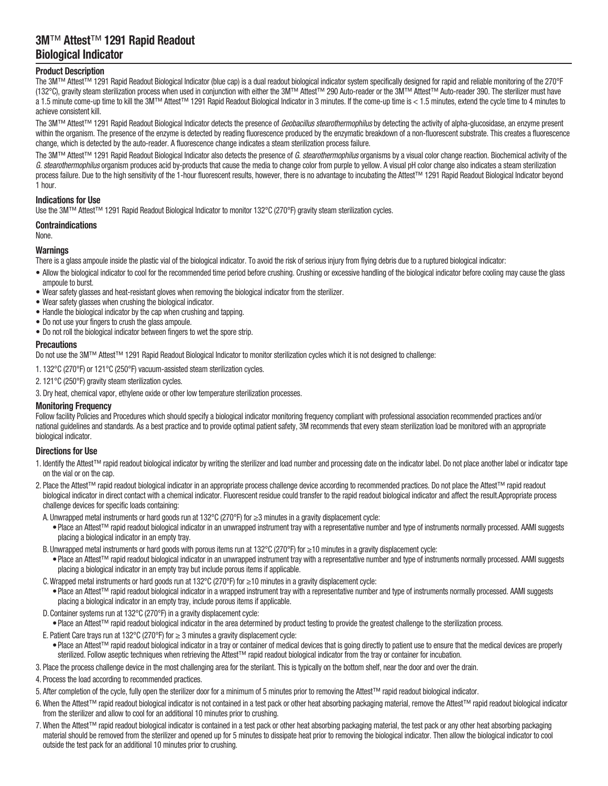# 3M™ Attest™ 1291 Rapid Readout Biological Indicator

# Product Description

The 3M™ Attest™ 1291 Rapid Readout Biological Indicator (blue cap) is a dual readout biological indicator system specifically designed for rapid and reliable monitoring of the 270°F (132°C), gravity steam sterilization process when used in conjunction with either the 3M™ Attest™ 290 Auto‑reader or the 3M™ Attest™ Auto‑reader 390. The sterilizer must have a 1.5 minute come-up time to kill the 3M™ Attest™ 1291 Rapid Readout Biological Indicator in 3 minutes. If the come-up time is < 1.5 minutes, extend the cycle time to 4 minutes to achieve consistent kill.

The 3M™ Attest<sup>™</sup> 1291 Rapid Readout Biological Indicator detects the presence of Geobacillus stearothermophilus by detecting the activity of alpha-glucosidase, an enzyme present within the organism. The presence of the enzyme is detected by reading fluorescence produced by the enzymatic breakdown of a non-fluorescent substrate. This creates a fluorescence change, which is detected by the auto‑reader. A fluorescence change indicates a steam sterilization process failure.

The 3M™ Attest™ 1291 Rapid Readout Biological Indicator also detects the presence of G. stearothermophilus organisms by a visual color change reaction. Biochemical activity of the G. stearothermophilus organism produces acid by-products that cause the media to change color from purple to yellow. A visual pH color change also indicates a steam sterilization process failure. Due to the high sensitivity of the 1-hour fluorescent results, however, there is no advantage to incubating the Attest™ 1291 Rapid Readout Biological Indicator beyond 1 hour.

# Indications for Use

Use the 3M™ Attest™ 1291 Rapid Readout Biological Indicator to monitor 132°C (270°F) gravity steam sterilization cycles.

Contraindications

None.

# Warnings

There is a glass ampoule inside the plastic vial of the biological indicator. To avoid the risk of serious injury from flying debris due to a ruptured biological indicator:

- Allow the biological indicator to cool for the recommended time period before crushing. Crushing or excessive handling of the biological indicator before cooling may cause the glass ampoule to burst.
- Wear safety glasses and heat-resistant gloves when removing the biological indicator from the sterilizer.
- Wear safety glasses when crushing the biological indicator.
- Handle the biological indicator by the cap when crushing and tapping.
- Do not use your fingers to crush the glass ampoule.
- Do not roll the biological indicator between fingers to wet the spore strip.

### **Precautions**

Do not use the 3M™ Attest™ 1291 Rapid Readout Biological Indicator to monitor sterilization cycles which it is not designed to challenge:

1. 132°C (270°F) or 121°C (250°F) vacuum‑assisted steam sterilization cycles.

2. 121°C (250°F) gravity steam sterilization cycles.

3. Dry heat, chemical vapor, ethylene oxide or other low temperature sterilization processes.

### **Monitoring Frequency**

Follow facility Policies and Procedures which should specify a biological indicator monitoring frequency compliant with professional association recommended practices and/or national guidelines and standards. As a best practice and to provide optimal patient safety, 3M recommends that every steam sterilization load be monitored with an appropriate biological indicator.

# Directions for Use

- 1. Identify the Attest™ rapid readout biological indicator by writing the sterilizer and load number and processing date on the indicator label. Do not place another label or indicator tape on the vial or on the cap.
- 2. Place the Attest™ rapid readout biological indicator in an appropriate process challenge device according to recommended practices. Do not place the Attest™ rapid readout biological indicator in direct contact with a chemical indicator. Fluorescent residue could transfer to the rapid readout biological indicator and affect the result.Appropriate process challenge devices for specific loads containing:
- A. Unwrapped metal instruments or hard goods run at 132°C (270°F) for ≥3 minutes in a gravity displacement cycle:
	- • Place an Attest™ rapid readout biological indicator in an unwrapped instrument tray with a representative number and type of instruments normally processed. AAMI suggests placing a biological indicator in an empty tray.
- B. Unwrapped metal instruments or hard goods with porous items run at 132°C (270°F) for ≥10 minutes in a gravity displacement cycle:
	- • Place an Attest™ rapid readout biological indicator in an unwrapped instrument tray with a representative number and type of instruments normally processed. AAMI suggests placing a biological indicator in an empty tray but include porous items if applicable.
- C.Wrapped metal instruments or hard goods run at 132°C (270°F) for ≥10 minutes in a gravity displacement cycle:
	- • Place an Attest™ rapid readout biological indicator in a wrapped instrument tray with a representative number and type of instruments normally processed. AAMI suggests placing a biological indicator in an empty tray, include porous items if applicable.
- D.Container systems run at 132°C (270°F) in a gravity displacement cycle:

• Place an Attest™ rapid readout biological indicator in the area determined by product testing to provide the greatest challenge to the sterilization process.

- E. Patient Care trays run at 132°C (270°F) for  $\geq$  3 minutes a gravity displacement cycle:
	- • Place an Attest™ rapid readout biological indicator in a tray or container of medical devices that is going directly to patient use to ensure that the medical devices are properly sterilized. Follow aseptic techniques when retrieving the Attest™ rapid readout biological indicator from the tray or container for incubation.
- 3. Place the process challenge device in the most challenging area for the sterilant. This is typically on the bottom shelf, near the door and over the drain.
- 4. Process the load according to recommended practices.
- 5. After completion of the cycle, fully open the sterilizer door for a minimum of 5 minutes prior to removing the Attest™ rapid readout biological indicator.
- 6. When the Attest™ rapid readout biological indicator is not contained in a test pack or other heat absorbing packaging material, remove the Attest™ rapid readout biological indicator from the sterilizer and allow to cool for an additional 10 minutes prior to crushing.
- 7. When the Attest™ rapid readout biological indicator is contained in a test pack or other heat absorbing packaging material, the test pack or any other heat absorbing packaging material should be removed from the sterilizer and opened up for 5 minutes to dissipate heat prior to removing the biological indicator. Then allow the biological indicator to cool outside the test pack for an additional 10 minutes prior to crushing.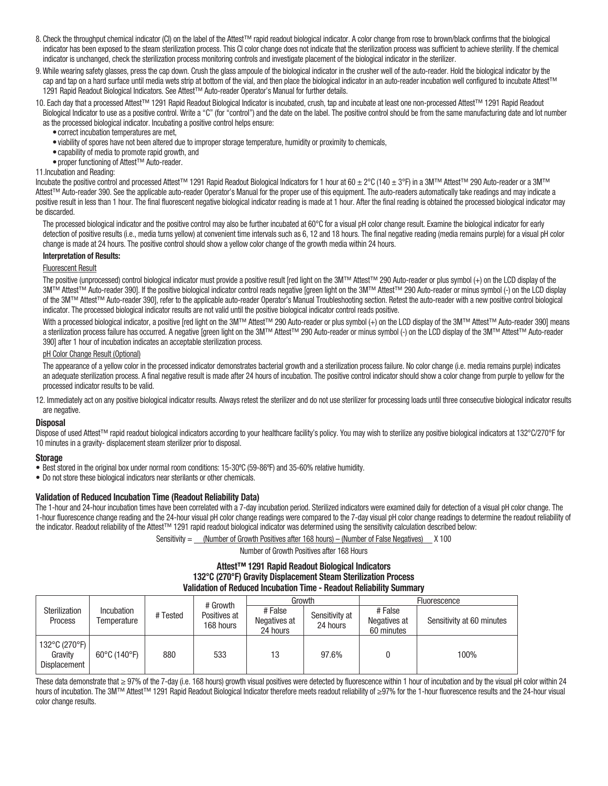- 8. Check the throughput chemical indicator (CI) on the label of the Attest™ rapid readout biological indicator. A color change from rose to brown/black confirms that the biological indicator has been exposed to the steam sterilization process. This CI color change does not indicate that the sterilization process was sufficient to achieve sterility. If the chemical indicator is unchanged, check the sterilization process monitoring controls and investigate placement of the biological indicator in the sterilizer.
- 9. While wearing safety glasses, press the cap down. Crush the glass ampoule of the biological indicator in the crusher well of the auto-reader. Hold the biological indicator by the cap and tap on a hard surface until media wets strip at bottom of the vial, and then place the biological indicator in an auto-reader incubation well configured to incubate Attest™ 1291 Rapid Readout Biological Indicators. See Attest™ Auto-reader Operator's Manual for further details.
- 10. Each day that a processed Attest™ 1291 Rapid Readout Biological Indicator is incubated, crush, tap and incubate at least one non‑processed Attest™ 1291 Rapid Readout Biological Indicator to use as a positive control. Write a "C" (for "control") and the date on the label. The positive control should be from the same manufacturing date and lot number as the processed biological indicator. Incubating a positive control helps ensure:
	- correct incubation temperatures are met,
	- • viability of spores have not been altered due to improper storage temperature, humidity or proximity to chemicals,
	- capability of media to promote rapid growth, and
	- • proper functioning of Attest™ Auto‑reader.
- 11.Incubation and Reading:

Incubate the positive control and processed Attest™ 1291 Rapid Readout Biological Indicators for 1 hour at 60 ± 2°C (140 ± 3°F) in a 3M™ Attest™ 290 Auto-reader or a 3M™ Attest<sup>™</sup> Auto-reader 390. See the applicable auto-reader Operator's Manual for the proper use of this equipment. The auto-readers automatically take readings and may indicate a positive result in less than 1 hour. The final fluorescent negative biological indicator reading is made at 1 hour. After the final reading is obtained the processed biological indicator may be discarded.

The processed biological indicator and the positive control may also be further incubated at 60°C for a visual pH color change result. Examine the biological indicator for early detection of positive results (i.e., media turns yellow) at convenient time intervals such as 6, 12 and 18 hours. The final negative reading (media remains purple) for a visual pH color change is made at 24 hours. The positive control should show a yellow color change of the growth media within 24 hours.

#### Interpretation of Results:

# Fluorescent Result

The positive (unprocessed) control biological indicator must provide a positive result [red light on the 3M™ Attest™ 290 Auto-reader or plus symbol (+) on the LCD display of the 3M™ Attest™ Auto-reader 390]. If the positive biological indicator control reads negative [green light on the 3M™ Attest™ 290 Auto-reader or minus symbol (-) on the LCD display of the 3M™ Attest™ Auto-reader 390], refer to the applicable auto-reader Operator's Manual Troubleshooting section. Retest the auto-reader with a new positive control biological indicator. The processed biological indicator results are not valid until the positive biological indicator control reads positive.

With a processed biological indicator, a positive [red light on the 3M™ Attest™ 290 Auto-reader or plus symbol (+) on the LCD display of the 3M™ Attest™ Auto-reader 390] means a sterilization process failure has occurred. A negative [green light on the 3M™ Attest™ 290 Auto-reader or minus symbol (-) on the LCD display of the 3M™ Attest™ Auto-reader 390] after 1 hour of incubation indicates an acceptable sterilization process.

#### pH Color Change Result (Optional)

The appearance of a yellow color in the processed indicator demonstrates bacterial growth and a sterilization process failure. No color change (i.e. media remains purple) indicates an adequate sterilization process. A final negative result is made after 24 hours of incubation. The positive control indicator should show a color change from purple to yellow for the processed indicator results to be valid.

12. Immediately act on any positive biological indicator results. Always retest the sterilizer and do not use sterilizer for processing loads until three consecutive biological indicator results are negative.

### **Disposal**

Dispose of used Attest™ rapid readout biological indicators according to your healthcare facility's policy. You may wish to sterilize any positive biological indicators at 132°C/270°F for 10 minutes in a gravity- displacement steam sterilizer prior to disposal.

#### **Storage**

- • Best stored in the original box under normal room conditions: 15-30ºC (59-86ºF) and 35-60% relative humidity.
- Do not store these biological indicators near sterilants or other chemicals.

### Validation of Reduced Incubation Time (Readout Reliability Data)

The 1-hour and 24-hour incubation times have been correlated with a 7-day incubation period. Sterilized indicators were examined daily for detection of a visual pH color change. The 1‑hour fluorescence change reading and the 24‑hour visual pH color change readings were compared to the 7‑day visual pH color change readings to determine the readout reliability of the indicator. Readout reliability of the Attest™ 1291 rapid readout biological indicator was determined using the sensitivity calculation described below:

Sensitivity  $=$  (Number of Growth Positives after 168 hours) – (Number of False Negatives)  $\times$  100

Number of Growth Positives after 168 Hours

# Attest™ 1291 Rapid Readout Biological Indicators 132°C (270°F) Gravity Displacement Steam Sterilization Process Validation of Reduced Incubation Time ‑ Readout Reliability Summary

| <b>Sterilization</b><br><b>Process</b>          | <b>Incubation</b><br>Temperature  | # Tested | # Growth<br>Positives at<br>168 hours | Growth                              |                            | Fluorescence                          |                           |
|-------------------------------------------------|-----------------------------------|----------|---------------------------------------|-------------------------------------|----------------------------|---------------------------------------|---------------------------|
|                                                 |                                   |          |                                       | # False<br>Negatives at<br>24 hours | Sensitivity at<br>24 hours | # False<br>Negatives at<br>60 minutes | Sensitivity at 60 minutes |
| 132°C (270°F)<br>Gravity<br><b>Displacement</b> | $60^{\circ}$ C (140 $^{\circ}$ F) | 880      | 533                                   | 13                                  | 97.6%                      |                                       | 100%                      |

These data demonstrate that ≥ 97% of the 7-day (i.e. 168 hours) growth visual positives were detected by fluorescence within 1 hour of incubation and by the visual pH color within 24 hours of incubation. The 3M™ Attest™ 1291 Rapid Readout Biological Indicator therefore meets readout reliability of ≥97% for the 1-hour fluorescence results and the 24-hour visual color change results.